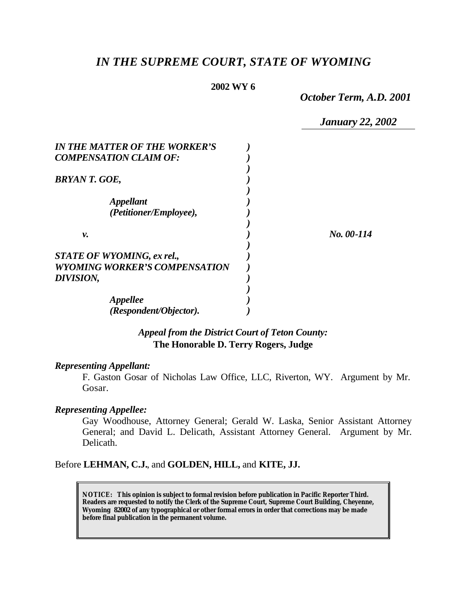# *IN THE SUPREME COURT, STATE OF WYOMING*

### **2002 WY 6**

*October Term, A.D. 2001*

*January 22, 2002*

| <b>IN THE MATTER OF THE WORKER'S</b>              |            |
|---------------------------------------------------|------------|
| <b>COMPENSATION CLAIM OF:</b>                     |            |
| <b>BRYAN T. GOE,</b>                              |            |
| <i><b>Appellant</b></i><br>(Petitioner/Employee), |            |
| ν.                                                | No. 00-114 |
| <b>STATE OF WYOMING, ex rel.,</b>                 |            |
| <b>WYOMING WORKER'S COMPENSATION</b><br>DIVISION, |            |
| Appellee                                          |            |
| (Respondent/Objector).                            |            |

## *Appeal from the District Court of Teton County:* **The Honorable D. Terry Rogers, Judge**

#### *Representing Appellant:*

F. Gaston Gosar of Nicholas Law Office, LLC, Riverton, WY. Argument by Mr. Gosar.

#### *Representing Appellee:*

Gay Woodhouse, Attorney General; Gerald W. Laska, Senior Assistant Attorney General; and David L. Delicath, Assistant Attorney General. Argument by Mr. Delicath.

#### Before **LEHMAN, C.J.**, and **GOLDEN, HILL,** and **KITE, JJ.**

**NOTICE:** *This opinion is subject to formal revision before publication in Pacific Reporter Third. Readers are requested to notify the Clerk of the Supreme Court, Supreme Court Building, Cheyenne, Wyoming 82002 of any typographical or other formal errors in order that corrections may be made before final publication in the permanent volume.*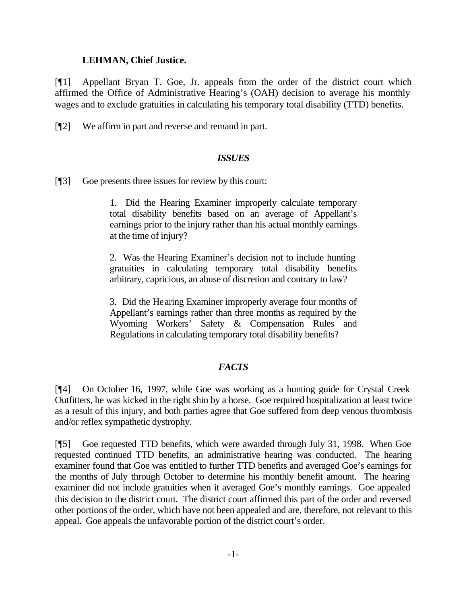#### **LEHMAN, Chief Justice.**

[¶1] Appellant Bryan T. Goe, Jr. appeals from the order of the district court which affirmed the Office of Administrative Hearing's (OAH) decision to average his monthly wages and to exclude gratuities in calculating his temporary total disability (TTD) benefits.

[¶2] We affirm in part and reverse and remand in part.

### *ISSUES*

[¶3] Goe presents three issues for review by this court:

1. Did the Hearing Examiner improperly calculate temporary total disability benefits based on an average of Appellant's earnings prior to the injury rather than his actual monthly earnings at the time of injury?

2. Was the Hearing Examiner's decision not to include hunting gratuities in calculating temporary total disability benefits arbitrary, capricious, an abuse of discretion and contrary to law?

3. Did the Hearing Examiner improperly average four months of Appellant's earnings rather than three months as required by the Wyoming Workers' Safety & Compensation Rules and Regulations in calculating temporary total disability benefits?

## *FACTS*

[¶4] On October 16, 1997, while Goe was working as a hunting guide for Crystal Creek Outfitters, he was kicked in the right shin by a horse. Goe required hospitalization at least twice as a result of this injury, and both parties agree that Goe suffered from deep venous thrombosis and/or reflex sympathetic dystrophy.

[¶5] Goe requested TTD benefits, which were awarded through July 31, 1998. When Goe requested continued TTD benefits, an administrative hearing was conducted. The hearing examiner found that Goe was entitled to further TTD benefits and averaged Goe's earnings for the months of July through October to determine his monthly benefit amount. The hearing examiner did not include gratuities when it averaged Goe's monthly earnings. Goe appealed this decision to the district court. The district court affirmed this part of the order and reversed other portions of the order, which have not been appealed and are, therefore, not relevant to this appeal. Goe appeals the unfavorable portion of the district court's order.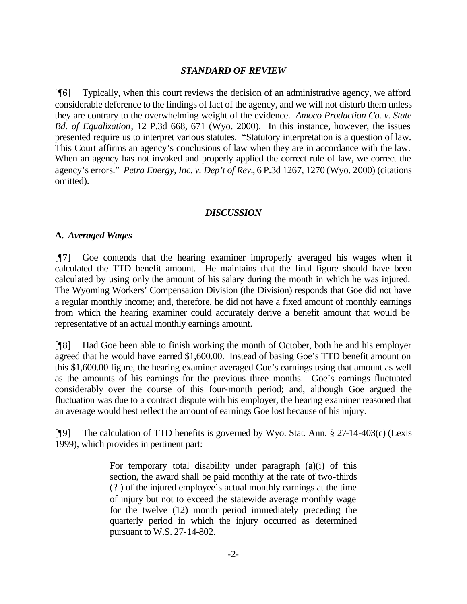#### *STANDARD OF REVIEW*

[¶6] Typically, when this court reviews the decision of an administrative agency, we afford considerable deference to the findings of fact of the agency, and we will not disturb them unless they are contrary to the overwhelming weight of the evidence. *Amoco Production Co. v. State Bd. of Equalization*, 12 P.3d 668, 671 (Wyo. 2000). In this instance, however, the issues presented require us to interpret various statutes. "Statutory interpretation is a question of law. This Court affirms an agency's conclusions of law when they are in accordance with the law. When an agency has not invoked and properly applied the correct rule of law, we correct the agency's errors." *Petra Energy, Inc. v. Dep't of Rev.*, 6 P.3d 1267, 1270 (Wyo. 2000) (citations omitted).

### *DISCUSSION*

### **A.** *Averaged Wages*

[¶7] Goe contends that the hearing examiner improperly averaged his wages when it calculated the TTD benefit amount. He maintains that the final figure should have been calculated by using only the amount of his salary during the month in which he was injured. The Wyoming Workers' Compensation Division (the Division) responds that Goe did not have a regular monthly income; and, therefore, he did not have a fixed amount of monthly earnings from which the hearing examiner could accurately derive a benefit amount that would be representative of an actual monthly earnings amount.

[¶8] Had Goe been able to finish working the month of October, both he and his employer agreed that he would have earned \$1,600.00. Instead of basing Goe's TTD benefit amount on this \$1,600.00 figure, the hearing examiner averaged Goe's earnings using that amount as well as the amounts of his earnings for the previous three months. Goe's earnings fluctuated considerably over the course of this four-month period; and, although Goe argued the fluctuation was due to a contract dispute with his employer, the hearing examiner reasoned that an average would best reflect the amount of earnings Goe lost because of his injury.

[¶9] The calculation of TTD benefits is governed by Wyo. Stat. Ann. § 27-14-403(c) (Lexis 1999), which provides in pertinent part:

> For temporary total disability under paragraph (a)(i) of this section, the award shall be paid monthly at the rate of two-thirds (? ) of the injured employee's actual monthly earnings at the time of injury but not to exceed the statewide average monthly wage for the twelve (12) month period immediately preceding the quarterly period in which the injury occurred as determined pursuant to W.S. 27-14-802.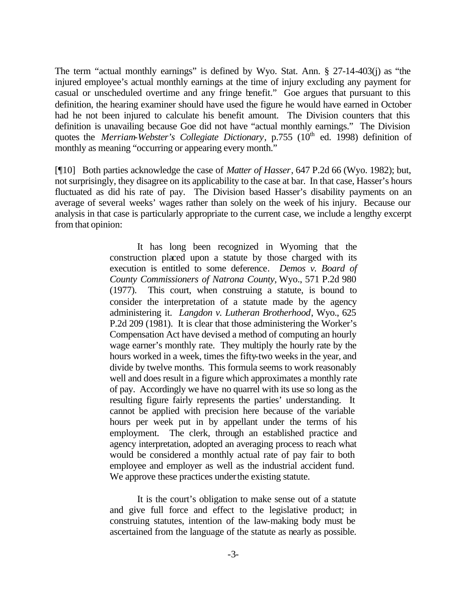The term "actual monthly earnings" is defined by Wyo. Stat. Ann. § 27-14-403(j) as "the injured employee's actual monthly earnings at the time of injury excluding any payment for casual or unscheduled overtime and any fringe benefit." Goe argues that pursuant to this definition, the hearing examiner should have used the figure he would have earned in October had he not been injured to calculate his benefit amount. The Division counters that this definition is unavailing because Goe did not have "actual monthly earnings." The Division quotes the *Merriam-Webster's Collegiate Dictionary*, p.755 (10<sup>th</sup> ed. 1998) definition of monthly as meaning "occurring or appearing every month."

[¶10] Both parties acknowledge the case of *Matter of Hasser*, 647 P.2d 66 (Wyo. 1982); but, not surprisingly, they disagree on its applicability to the case at bar. In that case, Hasser's hours fluctuated as did his rate of pay. The Division based Hasser's disability payments on an average of several weeks' wages rather than solely on the week of his injury. Because our analysis in that case is particularly appropriate to the current case, we include a lengthy excerpt from that opinion:

> It has long been recognized in Wyoming that the construction placed upon a statute by those charged with its execution is entitled to some deference*. Demos v. Board of County Commissioners of Natrona County,* Wyo., 571 P.2d 980 (1977). This court, when construing a statute, is bound to consider the interpretation of a statute made by the agency administering it. *Langdon v. Lutheran Brotherhood*, Wyo., 625 P.2d 209 (1981). It is clear that those administering the Worker's Compensation Act have devised a method of computing an hourly wage earner's monthly rate. They multiply the hourly rate by the hours worked in a week, times the fifty-two weeks in the year, and divide by twelve months. This formula seems to work reasonably well and does result in a figure which approximates a monthly rate of pay. Accordingly we have no quarrel with its use so long as the resulting figure fairly represents the parties' understanding. It cannot be applied with precision here because of the variable hours per week put in by appellant under the terms of his employment. The clerk, through an established practice and agency interpretation, adopted an averaging process to reach what would be considered a monthly actual rate of pay fair to both employee and employer as well as the industrial accident fund. We approve these practices under the existing statute.

> It is the court's obligation to make sense out of a statute and give full force and effect to the legislative product; in construing statutes, intention of the law-making body must be ascertained from the language of the statute as nearly as possible.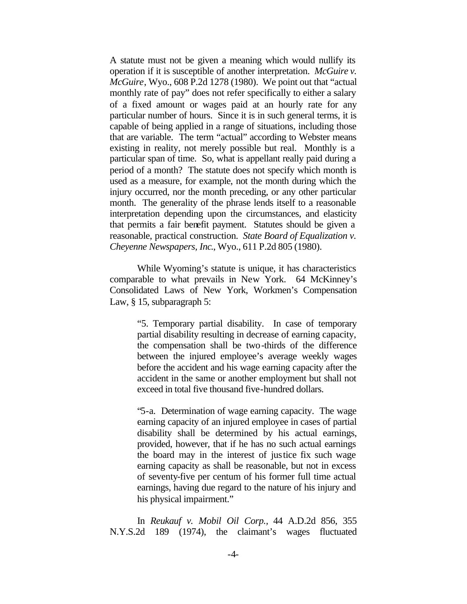A statute must not be given a meaning which would nullify its operation if it is susceptible of another interpretation. *McGuire v. McGuire*, Wyo., 608 P.2d 1278 (1980). We point out that "actual monthly rate of pay" does not refer specifically to either a salary of a fixed amount or wages paid at an hourly rate for any particular number of hours. Since it is in such general terms, it is capable of being applied in a range of situations, including those that are variable. The term "actual" according to Webster means existing in reality, not merely possible but real. Monthly is a particular span of time. So, what is appellant really paid during a period of a month? The statute does not specify which month is used as a measure, for example, not the month during which the injury occurred, nor the month preceding, or any other particular month. The generality of the phrase lends itself to a reasonable interpretation depending upon the circumstances, and elasticity that permits a fair benefit payment. Statutes should be given a reasonable, practical construction. *State Board of Equalization v. Cheyenne Newspapers, Inc*., Wyo., 611 P.2d 805 (1980).

While Wyoming's statute is unique, it has characteristics comparable to what prevails in New York. 64 McKinney's Consolidated Laws of New York, Workmen's Compensation Law, § 15, subparagraph 5:

> "5. Temporary partial disability. In case of temporary partial disability resulting in decrease of earning capacity, the compensation shall be two-thirds of the difference between the injured employee's average weekly wages before the accident and his wage earning capacity after the accident in the same or another employment but shall not exceed in total five thousand five-hundred dollars.

> "5-a. Determination of wage earning capacity. The wage earning capacity of an injured employee in cases of partial disability shall be determined by his actual earnings, provided, however, that if he has no such actual earnings the board may in the interest of justice fix such wage earning capacity as shall be reasonable, but not in excess of seventy-five per centum of his former full time actual earnings, having due regard to the nature of his injury and his physical impairment."

In *Reukauf v. Mobil Oil Corp.,* 44 A.D.2d 856, 355 N.Y.S.2d 189 (1974), the claimant's wages fluctuated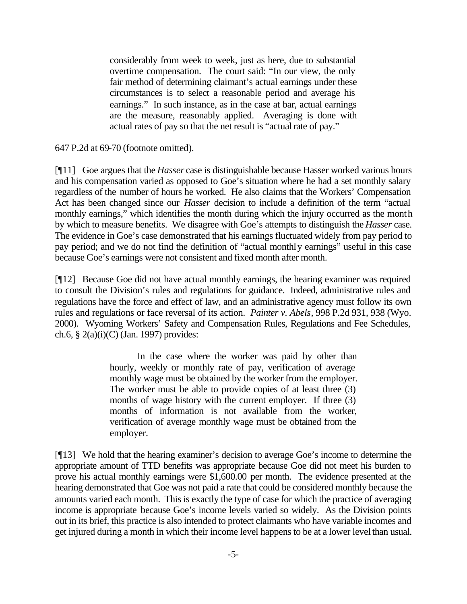considerably from week to week, just as here, due to substantial overtime compensation. The court said: "In our view, the only fair method of determining claimant's actual earnings under these circumstances is to select a reasonable period and average his earnings." In such instance, as in the case at bar, actual earnings are the measure, reasonably applied. Averaging is done with actual rates of pay so that the net result is "actual rate of pay."

647 P.2d at 69-70 (footnote omitted).

[¶11] Goe argues that the *Hasser* case is distinguishable because Hasser worked various hours and his compensation varied as opposed to Goe's situation where he had a set monthly salary regardless of the number of hours he worked. He also claims that the Workers' Compensation Act has been changed since our *Hasser* decision to include a definition of the term "actual monthly earnings," which identifies the month during which the injury occurred as the month by which to measure benefits. We disagree with Goe's attempts to distinguish the *Hasser* case. The evidence in Goe's case demonstrated that his earnings fluctuated widely from pay period to pay period; and we do not find the definition of "actual monthly earnings" useful in this case because Goe's earnings were not consistent and fixed month after month.

[¶12] Because Goe did not have actual monthly earnings, the hearing examiner was required to consult the Division's rules and regulations for guidance. Indeed, administrative rules and regulations have the force and effect of law, and an administrative agency must follow its own rules and regulations or face reversal of its action. *Painter v. Abels*, 998 P.2d 931, 938 (Wyo. 2000). Wyoming Workers' Safety and Compensation Rules, Regulations and Fee Schedules, ch.6, § 2(a)(i)(C) (Jan. 1997) provides:

> In the case where the worker was paid by other than hourly, weekly or monthly rate of pay, verification of average monthly wage must be obtained by the worker from the employer. The worker must be able to provide copies of at least three (3) months of wage history with the current employer. If three (3) months of information is not available from the worker, verification of average monthly wage must be obtained from the employer.

[¶13] We hold that the hearing examiner's decision to average Goe's income to determine the appropriate amount of TTD benefits was appropriate because Goe did not meet his burden to prove his actual monthly earnings were \$1,600.00 per month. The evidence presented at the hearing demonstrated that Goe was not paid a rate that could be considered monthly because the amounts varied each month. This is exactly the type of case for which the practice of averaging income is appropriate because Goe's income levels varied so widely. As the Division points out in its brief, this practice is also intended to protect claimants who have variable incomes and get injured during a month in which their income level happens to be at a lower level than usual.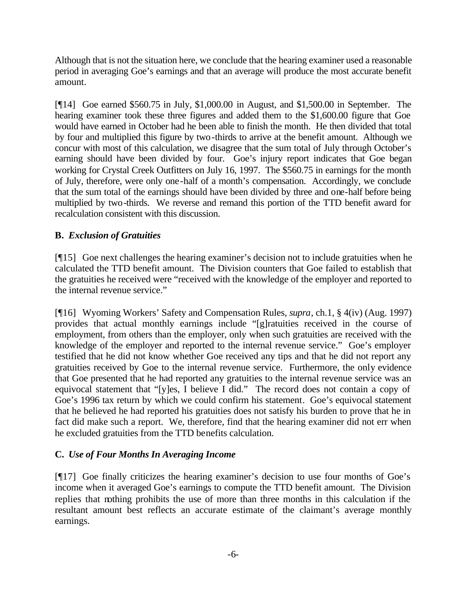Although that is not the situation here, we conclude that the hearing examiner used a reasonable period in averaging Goe's earnings and that an average will produce the most accurate benefit amount.

[¶14] Goe earned \$560.75 in July, \$1,000.00 in August, and \$1,500.00 in September. The hearing examiner took these three figures and added them to the \$1,600.00 figure that Goe would have earned in October had he been able to finish the month. He then divided that total by four and multiplied this figure by two-thirds to arrive at the benefit amount.Although we concur with most of this calculation, we disagree that the sum total of July through October's earning should have been divided by four. Goe's injury report indicates that Goe began working for Crystal Creek Outfitters on July 16, 1997. The \$560.75 in earnings for the month of July, therefore, were only one-half of a month's compensation. Accordingly, we conclude that the sum total of the earnings should have been divided by three and one-half before being multiplied by two-thirds. We reverse and remand this portion of the TTD benefit award for recalculation consistent with this discussion.

## **B.** *Exclusion of Gratuities*

[¶15] Goe next challenges the hearing examiner's decision not to include gratuities when he calculated the TTD benefit amount. The Division counters that Goe failed to establish that the gratuities he received were "received with the knowledge of the employer and reported to the internal revenue service."

[¶16] Wyoming Workers' Safety and Compensation Rules, *supra*, ch.1, § 4(iv) (Aug. 1997) provides that actual monthly earnings include "[g]ratuities received in the course of employment, from others than the employer, only when such gratuities are received with the knowledge of the employer and reported to the internal revenue service." Goe's employer testified that he did not know whether Goe received any tips and that he did not report any gratuities received by Goe to the internal revenue service. Furthermore, the only evidence that Goe presented that he had reported any gratuities to the internal revenue service was an equivocal statement that "[y]es, I believe I did." The record does not contain a copy of Goe's 1996 tax return by which we could confirm his statement. Goe's equivocal statement that he believed he had reported his gratuities does not satisfy his burden to prove that he in fact did make such a report. We, therefore, find that the hearing examiner did not err when he excluded gratuities from the TTD benefits calculation.

# **C.** *Use of Four Months In Averaging Income*

[¶17] Goe finally criticizes the hearing examiner's decision to use four months of Goe's income when it averaged Goe's earnings to compute the TTD benefit amount. The Division replies that nothing prohibits the use of more than three months in this calculation if the resultant amount best reflects an accurate estimate of the claimant's average monthly earnings.